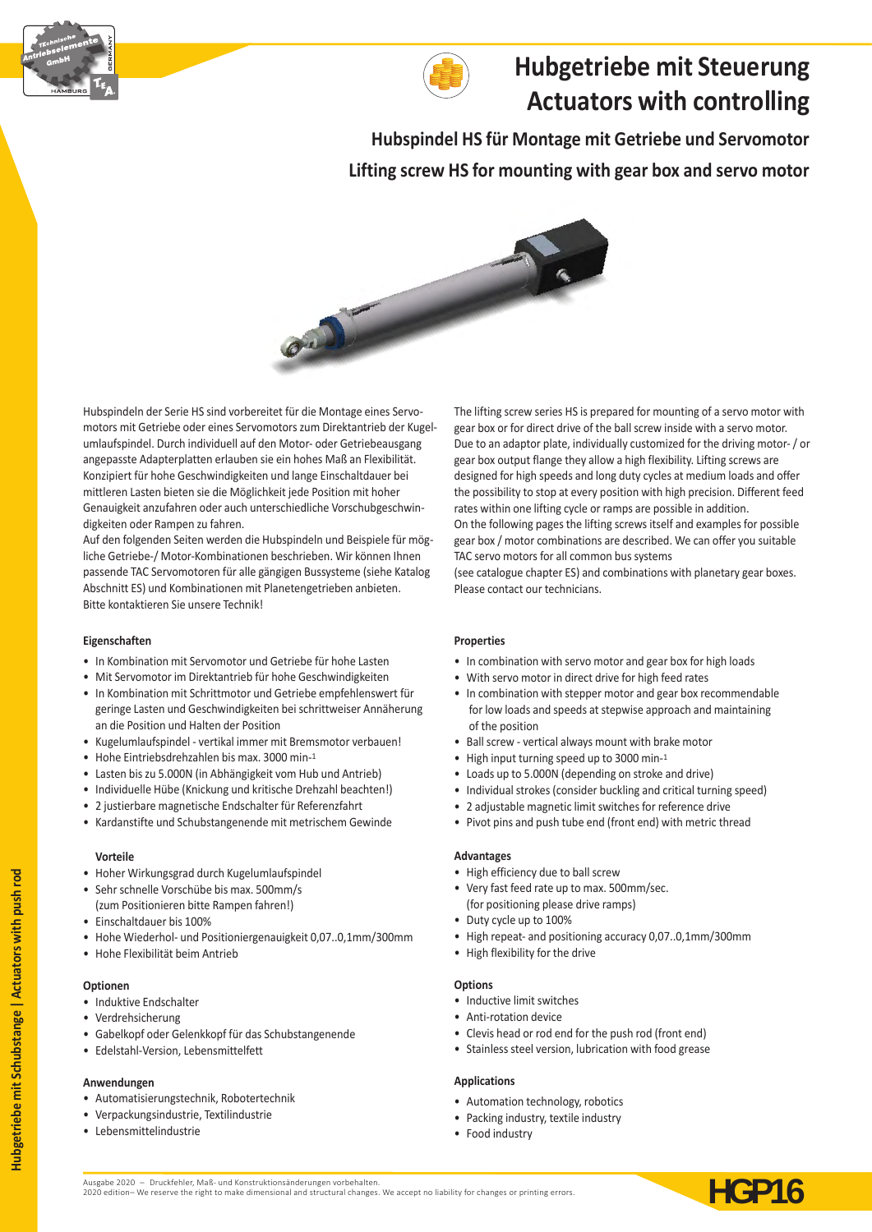



# **Hubgetriebe mit Steuerung Actuators with controlling**

**Hubspindel HS für Montage mit Getriebe und Servomotor Lifting screw HS for mounting with gear box and servo motor** 



Hubspindeln der Serie HS sind vorbereitet für die Montage eines Servomotors mit Getriebe oder eines Servomotors zum Direktantrieb der Kugelumlaufspindel. Durch individuell auf den Motor- oder Getriebeausgang angepasste Adapterplatten erlauben sie ein hohes Maß an Flexibilität. Konzipiert für hohe Geschwindigkeiten und lange Einschaltdauer bei mittleren Lasten bieten sie die Möglichkeit jede Position mit hoher Genauigkeit anzufahren oder auch unterschiedliche Vorschubgeschwindigkeiten oder Rampen zu fahren.

Auf den folgenden Seiten werden die Hubspindeln und Beispiele für mögliche Getriebe-/ Motor-Kombinationen beschrieben. Wir können Ihnen passende TAC Servomotoren für alle gängigen Bussysteme (siehe Katalog Abschnitt ES) und Kombinationen mit Planetengetrieben anbieten. Bitte kontaktieren Sie unsere Technik!

#### **Eigenschaften**

- In Kombination mit Servomotor und Getriebe für hohe Lasten
- Mit Servomotor im Direktantrieb für hohe Geschwindigkeiten
- In Kombination mit Schrittmotor und Getriebe empfehlenswert für geringe Lasten und Geschwindigkeiten bei schrittweiser Annäherung an die Position und Halten der Position
- Kugelumlaufspindel vertikal immer mit Bremsmotor verbauen!
- Hohe Eintriebsdrehzahlen bis max. 3000 min-1
- Lasten bis zu 5.000N (in Abhängigkeit vom Hub und Antrieb)
- Individuelle Hübe (Knickung und kritische Drehzahl beachten!)
- 2 justierbare magnetische Endschalter für Referenzfahrt
- Kardanstifte und Schubstangenende mit metrischem Gewinde

#### **Vorteile**

- Hoher Wirkungsgrad durch Kugelumlaufspindel
- Sehr schnelle Vorschübe bis max. 500mm/s (zum Positionieren bitte Rampen fahren!)
- Einschaltdauer bis 100%
- Hohe Wiederhol- und Positioniergenauigkeit 0,07..0,1mm/300mm
- Hohe Flexibilität beim Antrieb

#### **Optionen**

- Induktive Endschalter
- Verdrehsicherung
- Gabelkopf oder Gelenkkopf für das Schubstangenende
- Edelstahl-Version, Lebensmittelfett

#### **Anwendungen**

- Automatisierungstechnik, Robotertechnik
- Verpackungsindustrie, Textilindustrie
- Lebensmittelindustrie

The lifting screw series HS is prepared for mounting of a servo motor with gear box or for direct drive of the ball screw inside with a servo motor. Due to an adaptor plate, individually customized for the driving motor- / or gear box output flange they allow a high flexibility. Lifting screws are designed for high speeds and long duty cycles at medium loads and offer the possibility to stop at every position with high precision. Different feed rates within one lifting cycle or ramps are possible in addition. On the following pages the lifting screws itself and examples for possible gear box / motor combinations are described. We can offer you suitable TAC servo motors for all common bus systems

(see catalogue chapter ES) and combinations with planetary gear boxes. Please contact our technicians.

#### **Properties**

- In combination with servo motor and gear box for high loads
- With servo motor in direct drive for high feed rates
- In combination with stepper motor and gear box recommendable for low loads and speeds at stepwise approach and maintaining of the position
- Ball screw vertical always mount with brake motor
- High input turning speed up to 3000 min-1
- Loads up to 5.000N (depending on stroke and drive)
- Individual strokes (consider buckling and critical turning speed)
- 2 adjustable magnetic limit switches for reference drive
- Pivot pins and push tube end (front end) with metric thread

#### **Advantages**

- High efficiency due to ball screw
- Very fast feed rate up to max. 500mm/sec. (for positioning please drive ramps)
- Duty cycle up to 100%
- High repeat- and positioning accuracy 0,07..0,1mm/300mm
- High flexibility for the drive

#### **Options**

- Inductive limit switches
- Anti-rotation device
- Clevis head or rod end for the push rod (front end)
- Stainless steel version, lubrication with food grease

#### **Applications**

- Automation technology, robotics
- Packing industry, textile industry
- Food industry

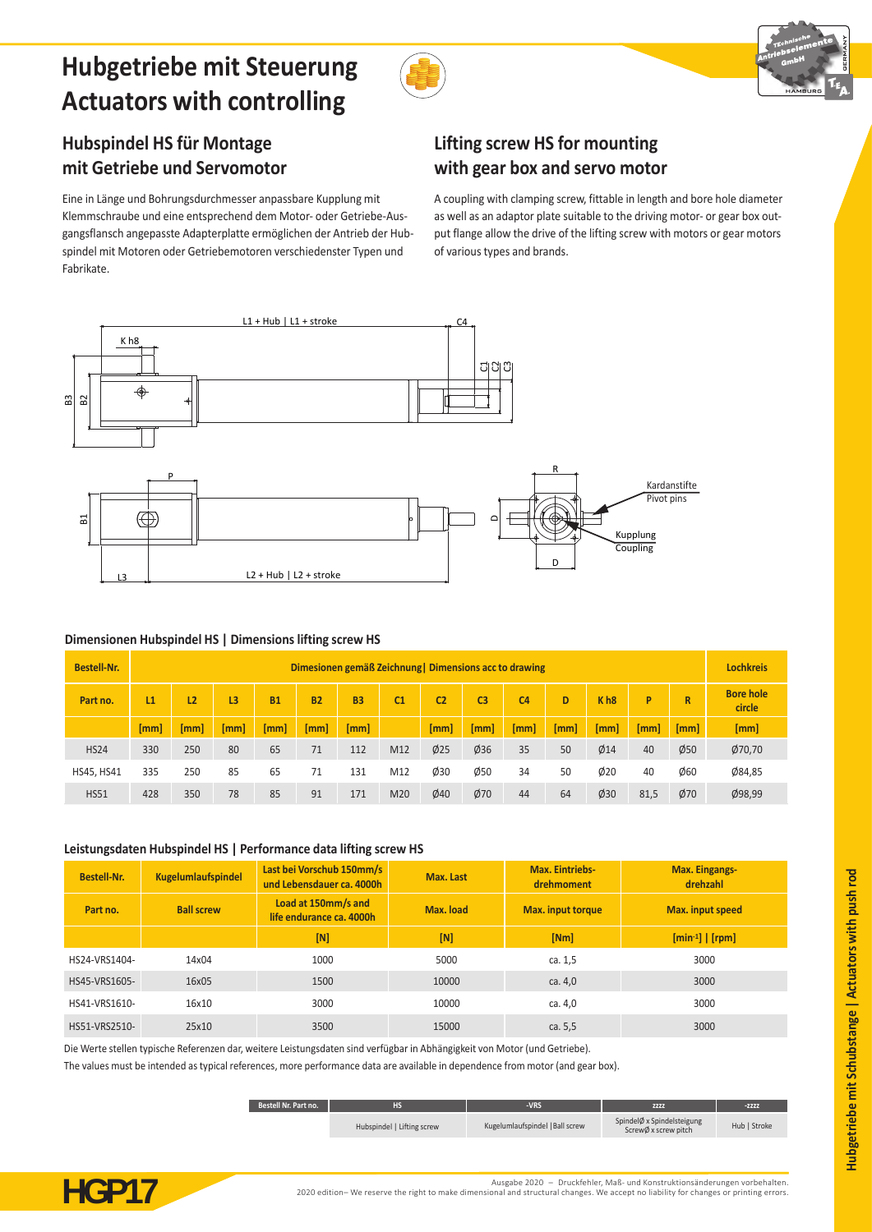# **Hubgetriebe mit Steuerung Actuators with controlling**





## **Hubspindel HS für Montage mit Getriebe und Servomotor**

Eine in Länge und Bohrungsdurchmesser anpassbare Kupplung mit Klemmschraube und eine entsprechend dem Motor- oder Getriebe-Ausgangsflansch angepasste Adapterplatte ermöglichen der Antrieb der Hubspindel mit Motoren oder Getriebemotoren verschiedenster Typen und Fabrikate.

## **Lifting screw HS for mounting with gear box and servo motor**

A coupling with clamping screw, fittable in length and bore hole diameter as well as an adaptor plate suitable to the driving motor- or gear box output flange allow the drive of the lifting screw with motors or gear motors of various types and brands.



### **Dimensionen Hubspindel HS | Dimensions lifting screw HS**

| <b>Bestell-Nr.</b> | Dimesionen gemäß Zeichnung   Dimensions acc to drawing |      |      |           |           |           |                |                |                | <b>Lochkreis</b> |      |                 |      |             |                            |
|--------------------|--------------------------------------------------------|------|------|-----------|-----------|-----------|----------------|----------------|----------------|------------------|------|-----------------|------|-------------|----------------------------|
| Part no.           | L1                                                     | L2   | L3   | <b>B1</b> | <b>B2</b> | <b>B3</b> | C <sub>1</sub> | C <sub>2</sub> | C <sub>3</sub> | C <sub>4</sub>   | D    | K <sub>h8</sub> | P    | $\mathbf R$ | <b>Bore hole</b><br>circle |
|                    | [mm]                                                   | [mm] | [mm] | [mm]      | [mm]      | [mm]      |                | [mm]           | [mm]           | $\mathsf{[mm]}$  | [mm] | [mm]            | [mm] | [mm]        | [mm]                       |
| <b>HS24</b>        | 330                                                    | 250  | 80   | 65        | 71        | 112       | M12            | Ø25            | Ø36            | 35               | 50   | Ø14             | 40   | Ø50         | Ø70,70                     |
| <b>HS45, HS41</b>  | 335                                                    | 250  | 85   | 65        | 71        | 131       | M12            | Ø30            | $\emptyset$ 50 | 34               | 50   | $\varphi$ 20    | 40   | Ø60         | Ø84,85                     |
| <b>HS51</b>        | 428                                                    | 350  | 78   | 85        | 91        | 171       | M20            | Ø40            | Ø70            | 44               | 64   | $\phi$ 30       | 81,5 | Ø70         | Ø98,99                     |

#### **Leistungsdaten Hubspindel HS | Performance data lifting screw HS**

| Bestell-Nr.   | <b>Kugelumlaufspindel</b> | Last bei Vorschub 150mm/s<br>und Lebensdauer ca. 4000h | Max. Last | <b>Max. Eintriebs-</b><br>drehmoment | <b>Max. Eingangs-</b><br>drehzahl |  |
|---------------|---------------------------|--------------------------------------------------------|-----------|--------------------------------------|-----------------------------------|--|
| Part no.      | <b>Ball screw</b>         | Load at 150mm/s and<br>life endurance ca. 4000h        | Max. load | <b>Max.</b> input torque             | <b>Max.</b> input speed           |  |
|               |                           | [N]                                                    | [N]       | [Nm]                                 | $[min^{-1}]   [rpm]$              |  |
| HS24-VRS1404- | 14x04                     | 1000                                                   | 5000      | ca. 1,5                              | 3000                              |  |
| HS45-VRS1605- | 16x05                     | 1500                                                   | 10000     | ca. 4.0                              | 3000                              |  |
| HS41-VRS1610- | 16x10                     | 3000                                                   | 10000     | ca. 4,0                              | 3000                              |  |
| HS51-VRS2510- | 25x10                     | 3500                                                   | 15000     | ca. 5, 5                             | 3000                              |  |

Die Werte stellen typische Referenzen dar, weitere Leistungsdaten sind verfügbar in Abhängigkeit von Motor (und Getriebe).

The values must be intended as typical references, more performance data are available in dependence from motor (and gear box).

| Bestell Nr. Part no. | -19                        | VRS                             | 7444                                               | $-7777$      |  |
|----------------------|----------------------------|---------------------------------|----------------------------------------------------|--------------|--|
|                      | Hubspindel   Lifting screw | Kugelumlaufspindel   Ball screw | SpindelØ x Spindelsteigung<br>ScrewØ x screw pitch | Hub   Stroke |  |



Ausgabe 2020 – Druckfehler, Maß- und Konstruktionsänderungen vorbehalten.<br>2020 edition– We reserve the right to make dimensional and structural changes. We accept no liability for changes or printing errors. 2020 edition– We reserve the right to make dimensional and structural changes. We accept no liability for changes or printing errors.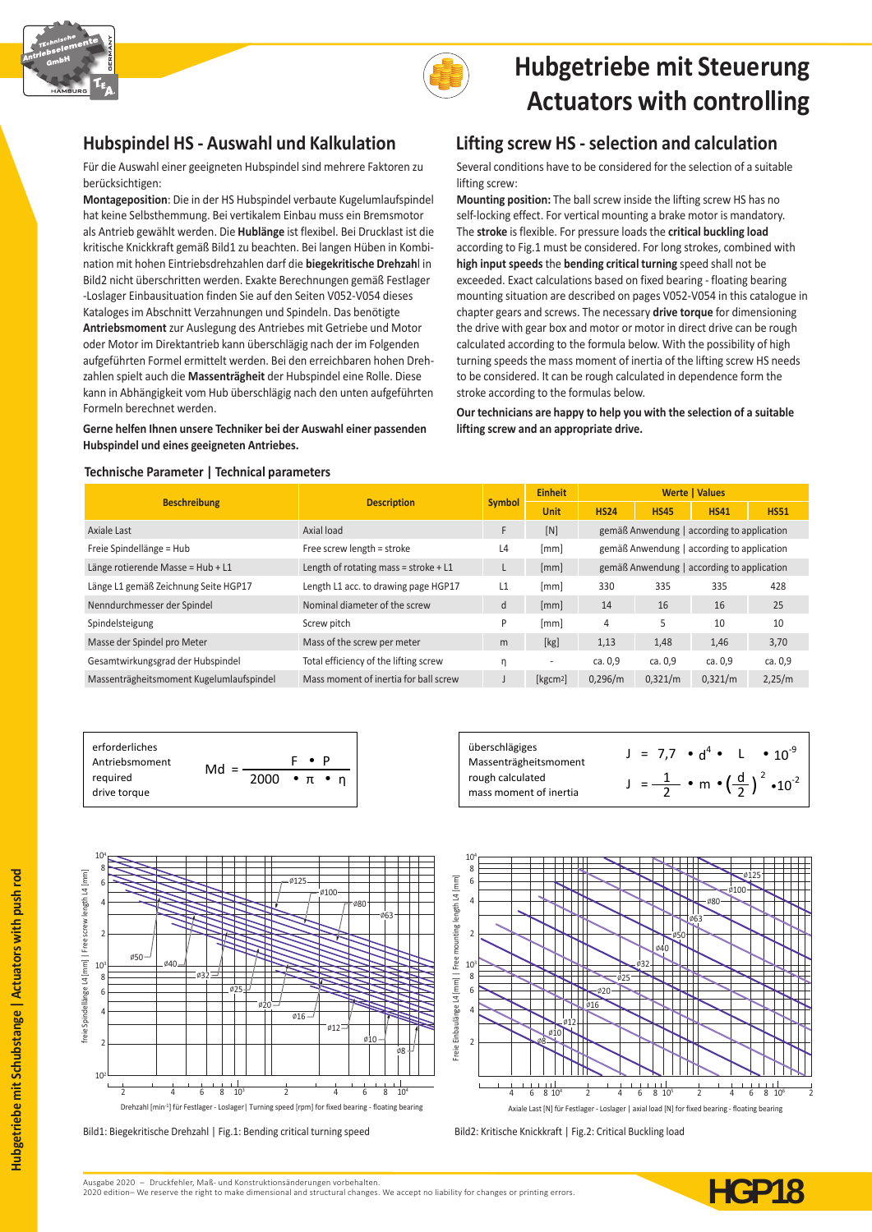



# **Hubgetriebe mit Steuerung Actuators with controlling**

Für die Auswahl einer geeigneten Hubspindel sind mehrere Faktoren zu berücksichtigen:

**Montageposition**: Die in der HS Hubspindel verbaute Kugelumlaufspindel hat keine Selbsthemmung. Bei vertikalem Einbau muss ein Bremsmotor als Antrieb gewählt werden. Die **Hublänge** ist flexibel. Bei Drucklast ist die kritische Knickkraft gemäß Bild1 zu beachten. Bei langen Hüben in Kombination mit hohen Eintriebsdrehzahlen darf die **biegekritische Drehzah**l in Bild2 nicht überschritten werden. Exakte Berechnungen gemäß Festlager -Loslager Einbausituation finden Sie auf den Seiten V052-V054 dieses Kataloges im Abschnitt Verzahnungen und Spindeln. Das benötigte **Antriebsmoment** zur Auslegung des Antriebes mit Getriebe und Motor oder Motor im Direktantrieb kann überschlägig nach der im Folgenden aufgeführten Formel ermittelt werden. Bei den erreichbaren hohen Drehzahlen spielt auch die **Massenträgheit** der Hubspindel eine Rolle. Diese kann in Abhängigkeit vom Hub überschlägig nach den unten aufgeführten Formeln berechnet werden.

**Gerne helfen Ihnen unsere Techniker bei der Auswahl einer passenden Hubspindel und eines geeigneten Antriebes.**

### **Hubspindel HS - Auswahl und Kalkulation Lifting screw HS - selection and calculation**

Several conditions have to be considered for the selection of a suitable lifting screw:

**Mounting position:** The ball screw inside the lifting screw HS has no self-locking effect. For vertical mounting a brake motor is mandatory. The **stroke** is flexible. For pressure loads the **critical buckling load** according to Fig.1 must be considered. For long strokes, combined with **high input speeds** the **bending critical turning** speed shall not be exceeded. Exact calculations based on fixed bearing - floating bearing mounting situation are described on pages V052-V054 in this catalogue in chapter gears and screws. The necessary **drive torque** for dimensioning the drive with gear box and motor or motor in direct drive can be rough calculated according to the formula below. With the possibility of high turning speeds the mass moment of inertia of the lifting screw HS needs to be considered. It can be rough calculated in dependence form the stroke according to the formulas below.

**Our technicians are happy to help you with the selection of a suitable lifting screw and an appropriate drive.**

#### **Technische Parameter | Technical parameters**

| <b>Beschreibung</b>                      | <b>Description</b>                      | <b>Symbol</b>  | <b>Einheit</b>       | <b>Werte   Values</b>                      |                                            |                                            |             |  |  |
|------------------------------------------|-----------------------------------------|----------------|----------------------|--------------------------------------------|--------------------------------------------|--------------------------------------------|-------------|--|--|
|                                          |                                         |                | <b>Unit</b>          | <b>HS24</b>                                | <b>HS45</b>                                | <b>HS41</b>                                | <b>HS51</b> |  |  |
| <b>Axiale Last</b>                       | [N]<br>Axial load                       |                |                      |                                            |                                            | gemäß Anwendung   according to application |             |  |  |
| Freie Spindellänge = Hub                 | Free screw length = stroke              | L <sub>4</sub> | [mm]                 |                                            | gemäß Anwendung   according to application |                                            |             |  |  |
| Länge rotierende Masse = Hub + L1        | Length of rotating mass = stroke + $L1$ |                | [mm]                 | gemäß Anwendung   according to application |                                            |                                            |             |  |  |
| Länge L1 gemäß Zeichnung Seite HGP17     | Length L1 acc. to drawing page HGP17    | L1             | [mm]                 | 330                                        | 335                                        | 335                                        | 428         |  |  |
| Nenndurchmesser der Spindel              | Nominal diameter of the screw           | d              | [mm]                 | 14                                         | 16                                         | 16                                         | 25          |  |  |
| Spindelsteigung                          | Screw pitch                             | P              | [mm]                 | 4                                          | 5                                          | 10                                         | 10          |  |  |
| Masse der Spindel pro Meter              | Mass of the screw per meter             | m              | [kg]                 | 1,13                                       | 1,48                                       | 1,46                                       | 3,70        |  |  |
| Gesamtwirkungsgrad der Hubspindel        | Total efficiency of the lifting screw   | η              | ٠                    | ca. 0,9                                    | ca. 0,9                                    | ca. 0,9                                    | ca. 0,9     |  |  |
| Massenträgheitsmoment Kugelumlaufspindel | Mass moment of inertia for ball screw   |                | [kgcm <sup>2</sup> ] | 0,296/m                                    | 0,321/m                                    | 0,321/m                                    | 2,25/m      |  |  |







Bild1: Biegekritische Drehzahl | Fig.1: Bending critical turning speed Bild2: Kritische Knickkraft | Fig.2: Critical Buckling load



**Hubgetriebe mit Schubstange | A** 

**Hubgetriebe mit Schubstange | Actuators with push rod**

Hubgetriebe mit Schubstange | Actuators with push rod